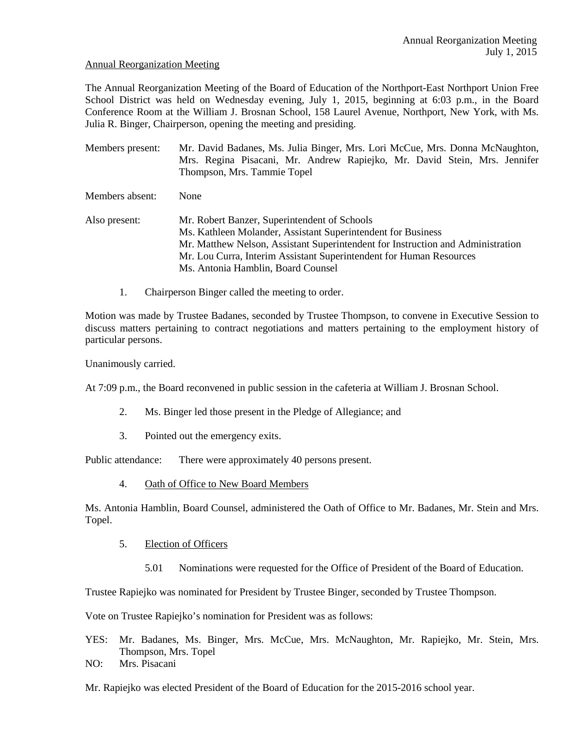#### Annual Reorganization Meeting

The Annual Reorganization Meeting of the Board of Education of the Northport-East Northport Union Free School District was held on Wednesday evening, July 1, 2015, beginning at 6:03 p.m., in the Board Conference Room at the William J. Brosnan School, 158 Laurel Avenue, Northport, New York, with Ms. Julia R. Binger, Chairperson, opening the meeting and presiding.

Members present: Mr. David Badanes, Ms. Julia Binger, Mrs. Lori McCue, Mrs. Donna McNaughton, Mrs. Regina Pisacani, Mr. Andrew Rapiejko, Mr. David Stein, Mrs. Jennifer Thompson, Mrs. Tammie Topel Members absent: None Also present: Mr. Robert Banzer, Superintendent of Schools Ms. Kathleen Molander, Assistant Superintendent for Business Mr. Matthew Nelson, Assistant Superintendent for Instruction and Administration Mr. Lou Curra, Interim Assistant Superintendent for Human Resources Ms. Antonia Hamblin, Board Counsel

1. Chairperson Binger called the meeting to order.

Motion was made by Trustee Badanes, seconded by Trustee Thompson, to convene in Executive Session to discuss matters pertaining to contract negotiations and matters pertaining to the employment history of particular persons.

Unanimously carried.

At 7:09 p.m., the Board reconvened in public session in the cafeteria at William J. Brosnan School.

- 2. Ms. Binger led those present in the Pledge of Allegiance; and
- 3. Pointed out the emergency exits.

Public attendance: There were approximately 40 persons present.

4. Oath of Office to New Board Members

Ms. Antonia Hamblin, Board Counsel, administered the Oath of Office to Mr. Badanes, Mr. Stein and Mrs. Topel.

- 5. Election of Officers
	- 5.01 Nominations were requested for the Office of President of the Board of Education.

Trustee Rapiejko was nominated for President by Trustee Binger, seconded by Trustee Thompson.

Vote on Trustee Rapiejko's nomination for President was as follows:

- YES: Mr. Badanes, Ms. Binger, Mrs. McCue, Mrs. McNaughton, Mr. Rapiejko, Mr. Stein, Mrs. Thompson, Mrs. Topel
- NO: Mrs. Pisacani

Mr. Rapiejko was elected President of the Board of Education for the 2015-2016 school year.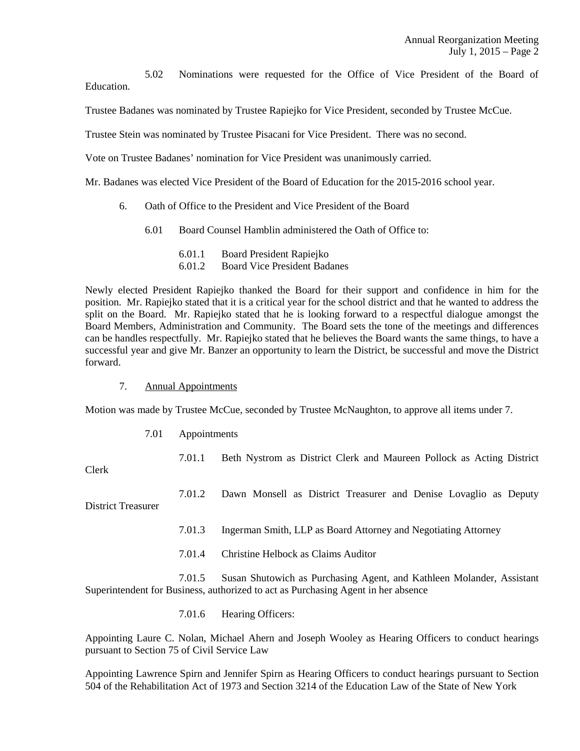5.02 Nominations were requested for the Office of Vice President of the Board of **Education** 

Trustee Badanes was nominated by Trustee Rapiejko for Vice President, seconded by Trustee McCue.

Trustee Stein was nominated by Trustee Pisacani for Vice President. There was no second.

Vote on Trustee Badanes' nomination for Vice President was unanimously carried.

Mr. Badanes was elected Vice President of the Board of Education for the 2015-2016 school year.

- 6. Oath of Office to the President and Vice President of the Board
	- 6.01 Board Counsel Hamblin administered the Oath of Office to:
		- 6.01.1 Board President Rapiejko
		- 6.01.2 Board Vice President Badanes

Newly elected President Rapiejko thanked the Board for their support and confidence in him for the position. Mr. Rapiejko stated that it is a critical year for the school district and that he wanted to address the split on the Board. Mr. Rapiejko stated that he is looking forward to a respectful dialogue amongst the Board Members, Administration and Community. The Board sets the tone of the meetings and differences can be handles respectfully. Mr. Rapiejko stated that he believes the Board wants the same things, to have a successful year and give Mr. Banzer an opportunity to learn the District, be successful and move the District forward.

#### 7. Annual Appointments

Motion was made by Trustee McCue, seconded by Trustee McNaughton, to approve all items under 7.

7.01 Appointments

7.01.1 Beth Nystrom as District Clerk and Maureen Pollock as Acting District

Clerk

 7.01.2 Dawn Monsell as District Treasurer and Denise Lovaglio as Deputy District Treasurer

7.01.3 Ingerman Smith, LLP as Board Attorney and Negotiating Attorney

7.01.4 Christine Helbock as Claims Auditor

 7.01.5 Susan Shutowich as Purchasing Agent, and Kathleen Molander, Assistant Superintendent for Business, authorized to act as Purchasing Agent in her absence

7.01.6 Hearing Officers:

Appointing Laure C. Nolan, Michael Ahern and Joseph Wooley as Hearing Officers to conduct hearings pursuant to Section 75 of Civil Service Law

Appointing Lawrence Spirn and Jennifer Spirn as Hearing Officers to conduct hearings pursuant to Section 504 of the Rehabilitation Act of 1973 and Section 3214 of the Education Law of the State of New York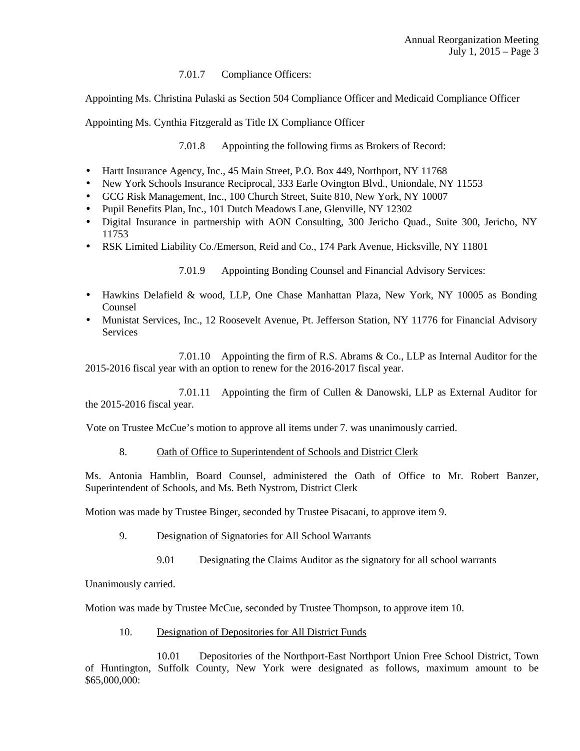# 7.01.7 Compliance Officers:

Appointing Ms. Christina Pulaski as Section 504 Compliance Officer and Medicaid Compliance Officer

Appointing Ms. Cynthia Fitzgerald as Title IX Compliance Officer

7.01.8 Appointing the following firms as Brokers of Record:

- Hartt Insurance Agency, Inc., 45 Main Street, P.O. Box 449, Northport, NY 11768
- New York Schools Insurance Reciprocal, 333 Earle Ovington Blvd., Uniondale, NY 11553
- GCG Risk Management, Inc., 100 Church Street, Suite 810, New York, NY 10007
- Pupil Benefits Plan, Inc., 101 Dutch Meadows Lane, Glenville, NY 12302
- Digital Insurance in partnership with AON Consulting, 300 Jericho Quad., Suite 300, Jericho, NY 11753
- RSK Limited Liability Co./Emerson, Reid and Co., 174 Park Avenue, Hicksville, NY 11801

7.01.9 Appointing Bonding Counsel and Financial Advisory Services:

- Hawkins Delafield & wood, LLP, One Chase Manhattan Plaza, New York, NY 10005 as Bonding Counsel
- Munistat Services, Inc., 12 Roosevelt Avenue, Pt. Jefferson Station, NY 11776 for Financial Advisory Services

 7.01.10 Appointing the firm of R.S. Abrams & Co., LLP as Internal Auditor for the 2015-2016 fiscal year with an option to renew for the 2016-2017 fiscal year.

 7.01.11 Appointing the firm of Cullen & Danowski, LLP as External Auditor for the 2015-2016 fiscal year.

Vote on Trustee McCue's motion to approve all items under 7. was unanimously carried.

## 8. Oath of Office to Superintendent of Schools and District Clerk

Ms. Antonia Hamblin, Board Counsel, administered the Oath of Office to Mr. Robert Banzer, Superintendent of Schools, and Ms. Beth Nystrom, District Clerk

Motion was made by Trustee Binger, seconded by Trustee Pisacani, to approve item 9.

- 9. Designation of Signatories for All School Warrants
	- 9.01 Designating the Claims Auditor as the signatory for all school warrants

Unanimously carried.

Motion was made by Trustee McCue, seconded by Trustee Thompson, to approve item 10.

10. Designation of Depositories for All District Funds

 10.01 Depositories of the Northport-East Northport Union Free School District, Town of Huntington, Suffolk County, New York were designated as follows, maximum amount to be \$65,000,000: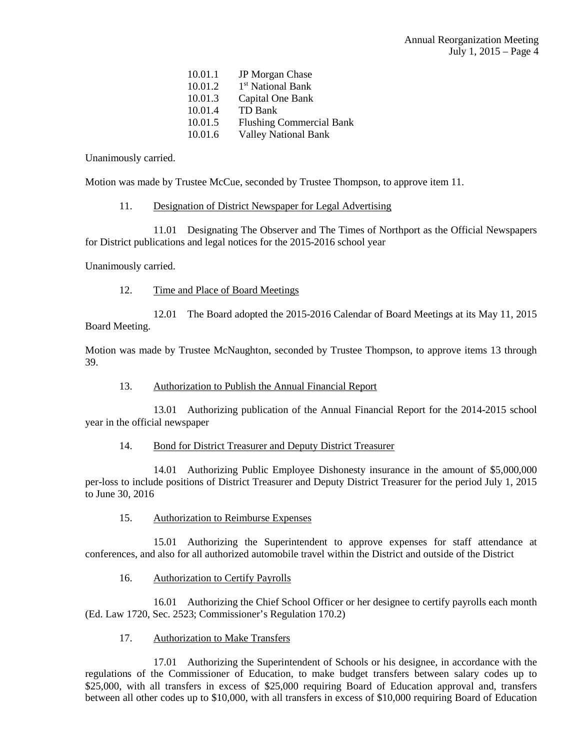| 10.01.1 | JP Morgan Chase                 |
|---------|---------------------------------|
| 10.01.2 | 1 <sup>st</sup> National Bank   |
| 10.01.3 | Capital One Bank                |
| 10.01.4 | TD Bank                         |
| 10.01.5 | <b>Flushing Commercial Bank</b> |
| 10.01.6 | <b>Valley National Bank</b>     |

Unanimously carried.

Motion was made by Trustee McCue, seconded by Trustee Thompson, to approve item 11.

## 11. Designation of District Newspaper for Legal Advertising

 11.01 Designating The Observer and The Times of Northport as the Official Newspapers for District publications and legal notices for the 2015-2016 school year

Unanimously carried.

# 12. Time and Place of Board Meetings

 12.01 The Board adopted the 2015-2016 Calendar of Board Meetings at its May 11, 2015 Board Meeting.

Motion was made by Trustee McNaughton, seconded by Trustee Thompson, to approve items 13 through 39.

13. Authorization to Publish the Annual Financial Report

 13.01 Authorizing publication of the Annual Financial Report for the 2014-2015 school year in the official newspaper

## 14. Bond for District Treasurer and Deputy District Treasurer

 14.01 Authorizing Public Employee Dishonesty insurance in the amount of \$5,000,000 per-loss to include positions of District Treasurer and Deputy District Treasurer for the period July 1, 2015 to June 30, 2016

15. Authorization to Reimburse Expenses

 15.01 Authorizing the Superintendent to approve expenses for staff attendance at conferences, and also for all authorized automobile travel within the District and outside of the District

16. Authorization to Certify Payrolls

 16.01 Authorizing the Chief School Officer or her designee to certify payrolls each month (Ed. Law 1720, Sec. 2523; Commissioner's Regulation 170.2)

17. Authorization to Make Transfers

 17.01 Authorizing the Superintendent of Schools or his designee, in accordance with the regulations of the Commissioner of Education, to make budget transfers between salary codes up to \$25,000, with all transfers in excess of \$25,000 requiring Board of Education approval and, transfers between all other codes up to \$10,000, with all transfers in excess of \$10,000 requiring Board of Education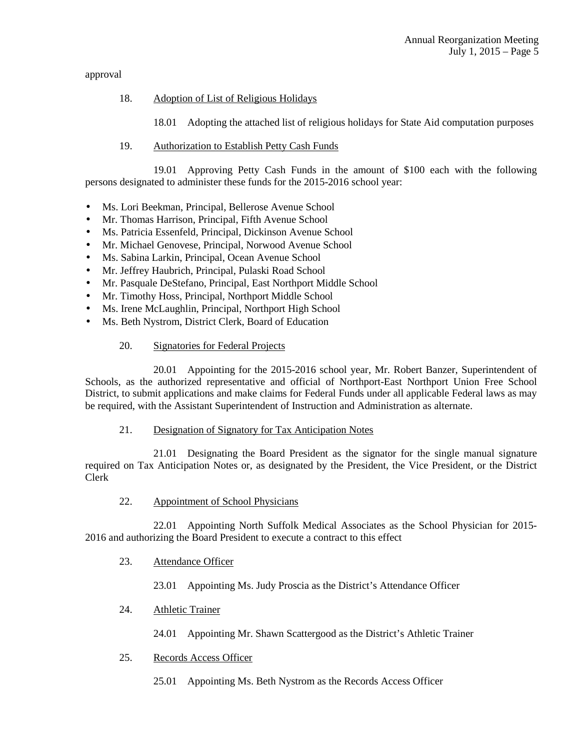approval

## 18. Adoption of List of Religious Holidays

18.01 Adopting the attached list of religious holidays for State Aid computation purposes

19. Authorization to Establish Petty Cash Funds

 19.01 Approving Petty Cash Funds in the amount of \$100 each with the following persons designated to administer these funds for the 2015-2016 school year:

- Ms. Lori Beekman, Principal, Bellerose Avenue School
- Mr. Thomas Harrison, Principal, Fifth Avenue School
- Ms. Patricia Essenfeld, Principal, Dickinson Avenue School
- Mr. Michael Genovese, Principal, Norwood Avenue School
- Ms. Sabina Larkin, Principal, Ocean Avenue School
- Mr. Jeffrey Haubrich, Principal, Pulaski Road School
- Mr. Pasquale DeStefano, Principal, East Northport Middle School
- Mr. Timothy Hoss, Principal, Northport Middle School
- Ms. Irene McLaughlin, Principal, Northport High School
- Ms. Beth Nystrom, District Clerk, Board of Education

## 20. Signatories for Federal Projects

 20.01 Appointing for the 2015-2016 school year, Mr. Robert Banzer, Superintendent of Schools, as the authorized representative and official of Northport-East Northport Union Free School District, to submit applications and make claims for Federal Funds under all applicable Federal laws as may be required, with the Assistant Superintendent of Instruction and Administration as alternate.

## 21. Designation of Signatory for Tax Anticipation Notes

 21.01 Designating the Board President as the signator for the single manual signature required on Tax Anticipation Notes or, as designated by the President, the Vice President, or the District Clerk

22. Appointment of School Physicians

 22.01 Appointing North Suffolk Medical Associates as the School Physician for 2015- 2016 and authorizing the Board President to execute a contract to this effect

23. Attendance Officer

23.01 Appointing Ms. Judy Proscia as the District's Attendance Officer

24. Athletic Trainer

24.01 Appointing Mr. Shawn Scattergood as the District's Athletic Trainer

25. Records Access Officer

25.01 Appointing Ms. Beth Nystrom as the Records Access Officer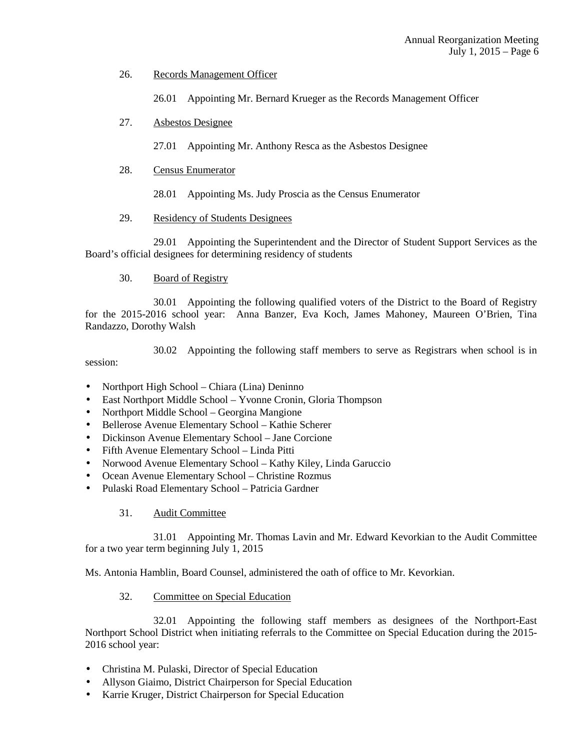26. Records Management Officer

26.01 Appointing Mr. Bernard Krueger as the Records Management Officer

27. Asbestos Designee

27.01 Appointing Mr. Anthony Resca as the Asbestos Designee

28. Census Enumerator

28.01 Appointing Ms. Judy Proscia as the Census Enumerator

29. Residency of Students Designees

 29.01 Appointing the Superintendent and the Director of Student Support Services as the Board's official designees for determining residency of students

30. Board of Registry

 30.01 Appointing the following qualified voters of the District to the Board of Registry for the 2015-2016 school year: Anna Banzer, Eva Koch, James Mahoney, Maureen O'Brien, Tina Randazzo, Dorothy Walsh

 30.02 Appointing the following staff members to serve as Registrars when school is in session:

- Northport High School Chiara (Lina) Deninno
- East Northport Middle School Yvonne Cronin, Gloria Thompson
- Northport Middle School Georgina Mangione
- Bellerose Avenue Elementary School Kathie Scherer
- Dickinson Avenue Elementary School Jane Corcione
- Fifth Avenue Elementary School Linda Pitti
- Norwood Avenue Elementary School Kathy Kiley, Linda Garuccio
- Ocean Avenue Elementary School Christine Rozmus
- Pulaski Road Elementary School Patricia Gardner
	- 31. Audit Committee

 31.01 Appointing Mr. Thomas Lavin and Mr. Edward Kevorkian to the Audit Committee for a two year term beginning July 1, 2015

Ms. Antonia Hamblin, Board Counsel, administered the oath of office to Mr. Kevorkian.

32. Committee on Special Education

 32.01 Appointing the following staff members as designees of the Northport-East Northport School District when initiating referrals to the Committee on Special Education during the 2015- 2016 school year:

- Christina M. Pulaski, Director of Special Education
- Allyson Giaimo, District Chairperson for Special Education
- Karrie Kruger, District Chairperson for Special Education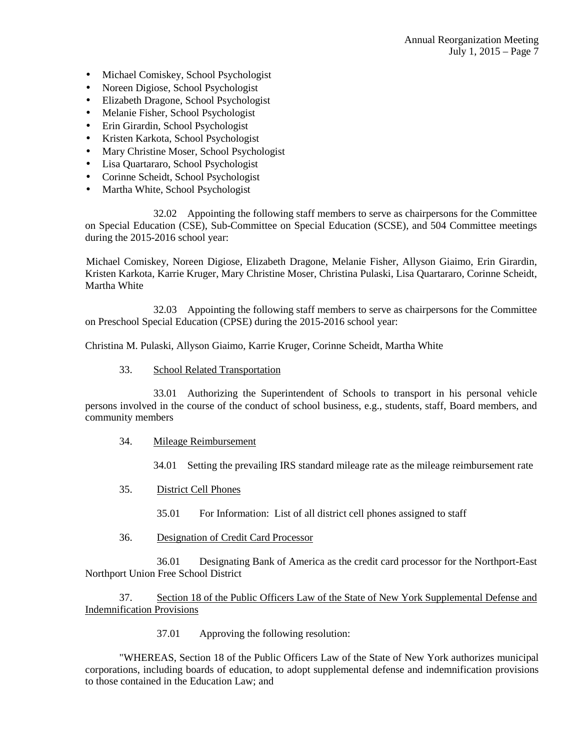- Michael Comiskey, School Psychologist
- Noreen Digiose, School Psychologist
- Elizabeth Dragone, School Psychologist
- Melanie Fisher, School Psychologist
- Erin Girardin, School Psychologist
- Kristen Karkota, School Psychologist
- Mary Christine Moser, School Psychologist
- Lisa Quartararo, School Psychologist
- Corinne Scheidt, School Psychologist
- Martha White, School Psychologist

 32.02 Appointing the following staff members to serve as chairpersons for the Committee on Special Education (CSE), Sub-Committee on Special Education (SCSE), and 504 Committee meetings during the 2015-2016 school year:

 Michael Comiskey, Noreen Digiose, Elizabeth Dragone, Melanie Fisher, Allyson Giaimo, Erin Girardin, Kristen Karkota, Karrie Kruger, Mary Christine Moser, Christina Pulaski, Lisa Quartararo, Corinne Scheidt, Martha White

 32.03 Appointing the following staff members to serve as chairpersons for the Committee on Preschool Special Education (CPSE) during the 2015-2016 school year:

Christina M. Pulaski, Allyson Giaimo, Karrie Kruger, Corinne Scheidt, Martha White

33. School Related Transportation

 33.01 Authorizing the Superintendent of Schools to transport in his personal vehicle persons involved in the course of the conduct of school business, e.g., students, staff, Board members, and community members

- 34. Mileage Reimbursement
	- 34.01 Setting the prevailing IRS standard mileage rate as the mileage reimbursement rate
- 35. District Cell Phones
	- 35.01 For Information: List of all district cell phones assigned to staff
- 36. Designation of Credit Card Processor

 36.01 Designating Bank of America as the credit card processor for the Northport-East Northport Union Free School District

 37. Section 18 of the Public Officers Law of the State of New York Supplemental Defense and Indemnification Provisions

37.01 Approving the following resolution:

"WHEREAS, Section 18 of the Public Officers Law of the State of New York authorizes municipal corporations, including boards of education, to adopt supplemental defense and indemnification provisions to those contained in the Education Law; and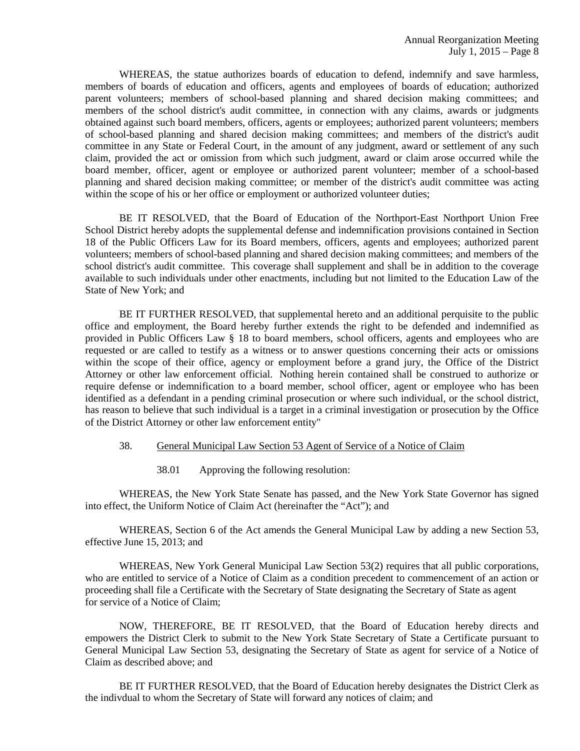WHEREAS, the statue authorizes boards of education to defend, indemnify and save harmless, members of boards of education and officers, agents and employees of boards of education; authorized parent volunteers; members of school-based planning and shared decision making committees; and members of the school district's audit committee, in connection with any claims, awards or judgments obtained against such board members, officers, agents or employees; authorized parent volunteers; members of school-based planning and shared decision making committees; and members of the district's audit committee in any State or Federal Court, in the amount of any judgment, award or settlement of any such claim, provided the act or omission from which such judgment, award or claim arose occurred while the board member, officer, agent or employee or authorized parent volunteer; member of a school-based planning and shared decision making committee; or member of the district's audit committee was acting within the scope of his or her office or employment or authorized volunteer duties;

BE IT RESOLVED, that the Board of Education of the Northport-East Northport Union Free School District hereby adopts the supplemental defense and indemnification provisions contained in Section 18 of the Public Officers Law for its Board members, officers, agents and employees; authorized parent volunteers; members of school-based planning and shared decision making committees; and members of the school district's audit committee. This coverage shall supplement and shall be in addition to the coverage available to such individuals under other enactments, including but not limited to the Education Law of the State of New York; and

BE IT FURTHER RESOLVED, that supplemental hereto and an additional perquisite to the public office and employment, the Board hereby further extends the right to be defended and indemnified as provided in Public Officers Law § 18 to board members, school officers, agents and employees who are requested or are called to testify as a witness or to answer questions concerning their acts or omissions within the scope of their office, agency or employment before a grand jury, the Office of the District Attorney or other law enforcement official. Nothing herein contained shall be construed to authorize or require defense or indemnification to a board member, school officer, agent or employee who has been identified as a defendant in a pending criminal prosecution or where such individual, or the school district, has reason to believe that such individual is a target in a criminal investigation or prosecution by the Office of the District Attorney or other law enforcement entity"

#### 38. General Municipal Law Section 53 Agent of Service of a Notice of Claim

38.01 Approving the following resolution:

WHEREAS, the New York State Senate has passed, and the New York State Governor has signed into effect, the Uniform Notice of Claim Act (hereinafter the "Act"); and

WHEREAS, Section 6 of the Act amends the General Municipal Law by adding a new Section 53, effective June 15, 2013; and

WHEREAS, New York General Municipal Law Section 53(2) requires that all public corporations, who are entitled to service of a Notice of Claim as a condition precedent to commencement of an action or proceeding shall file a Certificate with the Secretary of State designating the Secretary of State as agent for service of a Notice of Claim;

NOW, THEREFORE, BE IT RESOLVED, that the Board of Education hereby directs and empowers the District Clerk to submit to the New York State Secretary of State a Certificate pursuant to General Municipal Law Section 53, designating the Secretary of State as agent for service of a Notice of Claim as described above; and

BE IT FURTHER RESOLVED, that the Board of Education hereby designates the District Clerk as the indivdual to whom the Secretary of State will forward any notices of claim; and